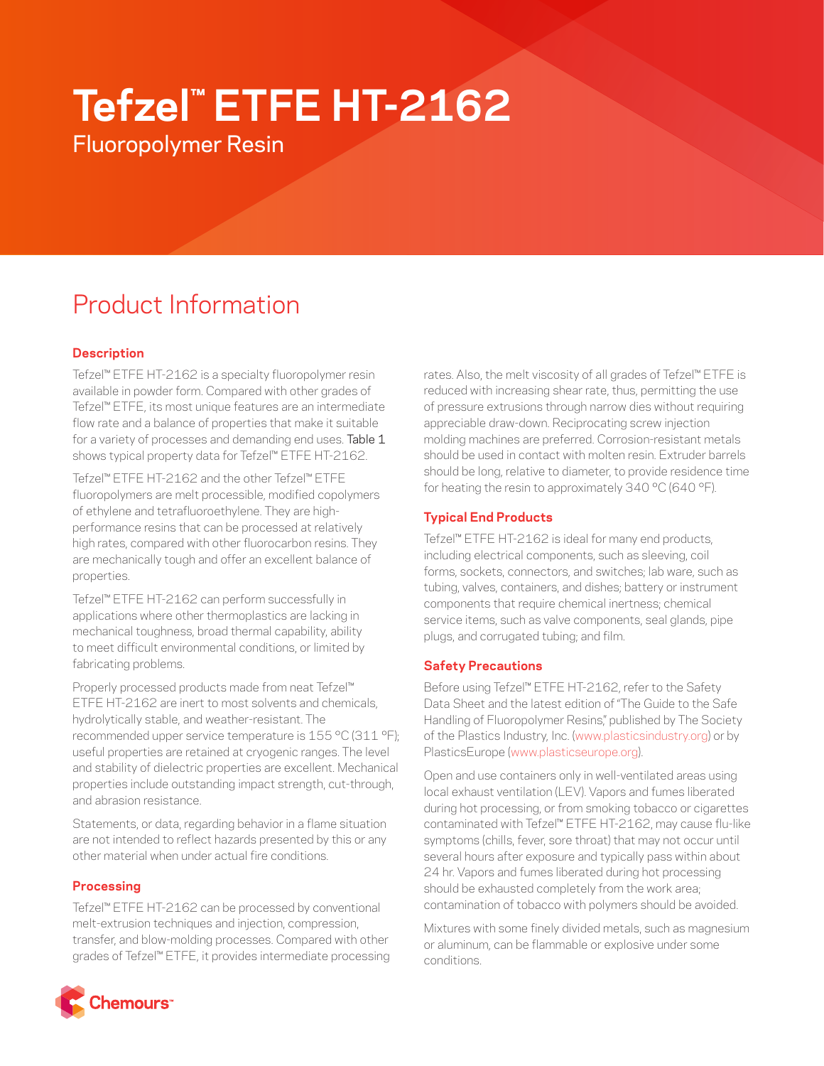# **Tefzel™ ETFE HT-2162**

Fluoropolymer Resin

# Product Information

# **Description**

Tefzel™ ETFE HT-2162 is a specialty fluoropolymer resin available in powder form. Compared with other grades of Tefzel™ ETFE, its most unique features are an intermediate flow rate and a balance of properties that make it suitable for a variety of processes and demanding end uses. Table 1 shows typical property data for Tefzel™ ETFE HT-2162.

Tefzel™ ETFE HT-2162 and the other Tefzel™ ETFE fluoropolymers are melt processible, modified copolymers of ethylene and tetrafluoroethylene. They are highperformance resins that can be processed at relatively high rates, compared with other fluorocarbon resins. They are mechanically tough and offer an excellent balance of properties.

Tefzel™ ETFE HT-2162 can perform successfully in applications where other thermoplastics are lacking in mechanical toughness, broad thermal capability, ability to meet difficult environmental conditions, or limited by fabricating problems.

Properly processed products made from neat Tefzel™ ETFE HT-2162 are inert to most solvents and chemicals, hydrolytically stable, and weather-resistant. The recommended upper service temperature is 155 °C (311 °F); useful properties are retained at cryogenic ranges. The level and stability of dielectric properties are excellent. Mechanical properties include outstanding impact strength, cut-through, and abrasion resistance.

Statements, or data, regarding behavior in a flame situation are not intended to reflect hazards presented by this or any other material when under actual fire conditions.

### **Processing**

Tefzel™ ETFE HT-2162 can be processed by conventional melt-extrusion techniques and injection, compression, transfer, and blow-molding processes. Compared with other grades of Tefzel™ ETFE, it provides intermediate processing



rates. Also, the melt viscosity of all grades of Tefzel™ ETFE is reduced with increasing shear rate, thus, permitting the use of pressure extrusions through narrow dies without requiring appreciable draw-down. Reciprocating screw injection molding machines are preferred. Corrosion-resistant metals should be used in contact with molten resin. Extruder barrels should be long, relative to diameter, to provide residence time for heating the resin to approximately 340 °C (640 °F).

# **Typical End Products**

Tefzel™ ETFE HT-2162 is ideal for many end products, including electrical components, such as sleeving, coil forms, sockets, connectors, and switches; lab ware, such as tubing, valves, containers, and dishes; battery or instrument components that require chemical inertness; chemical service items, such as valve components, seal glands, pipe plugs, and corrugated tubing; and film.

## **Safety Precautions**

Before using Tefzel™ ETFE HT-2162, refer to the Safety Data Sheet and the latest edition of "The Guide to the Safe Handling of Fluoropolymer Resins," published by The Society of the Plastics Industry, Inc. (www.plasticsindustry.org) or by PlasticsEurope (www.plasticseurope.org).

Open and use containers only in well-ventilated areas using local exhaust ventilation (LEV). Vapors and fumes liberated during hot processing, or from smoking tobacco or cigarettes contaminated with Tefzel™ ETFE HT-2162, may cause flu-like symptoms (chills, fever, sore throat) that may not occur until several hours after exposure and typically pass within about 24 hr. Vapors and fumes liberated during hot processing should be exhausted completely from the work area; contamination of tobacco with polymers should be avoided.

Mixtures with some finely divided metals, such as magnesium or aluminum, can be flammable or explosive under some conditions.